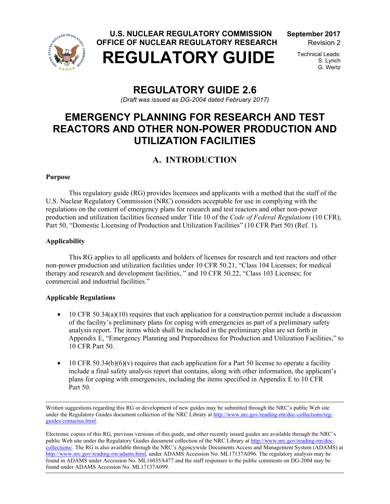

 **U.S. NUCLEAR REGULATORY COMMISSION September 2017 OFFICE OF NUCLEAR REGULATORY RESEARCH Revision 2** 



S. Lynch G. Wertz

# **REGULATORY GUIDE 2.6**

*(Draft was issued as DG-2004 dated February 2017)* 

# **EMERGENCY PLANNING FOR RESEARCH AND TEST REACTORS AND OTHER NON-POWER PRODUCTION AND UTILIZATION FACILITIES**

# **A. INTRODUCTION**

## **Purpose**

This regulatory guide (RG) provides licensees and applicants with a method that the staff of the U.S. Nuclear Regulatory Commission (NRC) considers acceptable for use in complying with the regulations on the content of emergency plans for research and test reactors and other non-power production and utilization facilities licensed under Title 10 of the *Code of Federal Regulations* (10 CFR), Part 50, "Domestic Licensing of Production and Utilization Facilities" (10 CFR Part 50) (Ref. 1).

## **Applicability**

 This RG applies to all applicants and holders of licenses for research and test reactors and other non-power production and utilization facilities under 10 CFR 50.21, "Class 104 Licenses; for medical therapy and research and development facilities, " and 10 CFR 50.22, "Class 103 Licenses; for commercial and industrial facilities."

## **Applicable Regulations**

- 10 CFR 50.34(a)(10) requires that each application for a construction permit include a discussion of the facility's preliminary plans for coping with emergencies as part of a preliminary safety analysis report. The items which shall be included in the preliminary plan are set forth in Appendix E, "Emergency Planning and Preparedness for Production and Utilization Facilities," to 10 CFR Part 50.
- 10 CFR 50.34(b)(6)(v) requires that each application for a Part 50 license to operate a facility include a final safety analysis report that contains, along with other information, the applicant's plans for coping with emergencies, including the items specified in Appendix E to 10 CFR Part 50.

Written suggestions regarding this RG or development of new guides may be submitted through the NRC's public Web site under the Regulatory Guides document collection of the NRC Library at http://www.nrc.gov/reading-rm/doc-collections/regguides/contactus.html.

Electronic copies of this RG, previous versions of this guide, and other recently issued guides are available through the NRC's public Web site under the Regulatory Guides document collection of the NRC Library at http://www.nrc.gov/reading-rm/doccollections/. The RG is also available through the NRC's Agencywide Documents Access and Management System (ADAMS) at http://www.nrc.gov/reading-rm/adams.html, under ADAMS Accession No. ML17137A096. The regulatory analysis may be found in ADAMS under Accession No. ML16035A477 and the staff responses to the public comments on DG-2004 may be found under ADAMS Accession No. ML17137A099.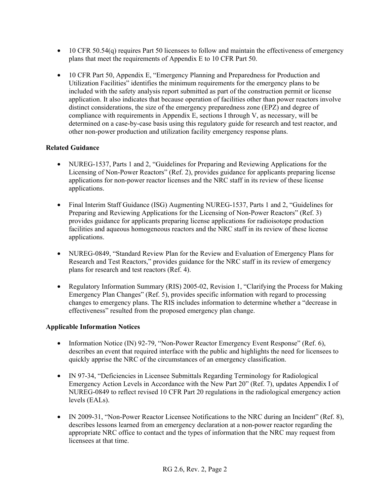- 10 CFR 50.54(q) requires Part 50 licensees to follow and maintain the effectiveness of emergency plans that meet the requirements of Appendix E to 10 CFR Part 50.
- 10 CFR Part 50, Appendix E, "Emergency Planning and Preparedness for Production and Utilization Facilities" identifies the minimum requirements for the emergency plans to be included with the safety analysis report submitted as part of the construction permit or license application. It also indicates that because operation of facilities other than power reactors involve distinct considerations, the size of the emergency preparedness zone (EPZ) and degree of compliance with requirements in Appendix E, sections I through V, as necessary, will be determined on a case-by-case basis using this regulatory guide for research and test reactor, and other non-power production and utilization facility emergency response plans.

## **Related Guidance**

- NUREG-1537, Parts 1 and 2, "Guidelines for Preparing and Reviewing Applications for the Licensing of Non-Power Reactors" (Ref. 2), provides guidance for applicants preparing license applications for non-power reactor licenses and the NRC staff in its review of these license applications.
- Final Interim Staff Guidance (ISG) Augmenting NUREG-1537, Parts 1 and 2, "Guidelines for Preparing and Reviewing Applications for the Licensing of Non-Power Reactors" (Ref. 3) provides guidance for applicants preparing license applications for radioisotope production facilities and aqueous homogeneous reactors and the NRC staff in its review of these license applications.
- NUREG-0849, "Standard Review Plan for the Review and Evaluation of Emergency Plans for Research and Test Reactors," provides guidance for the NRC staff in its review of emergency plans for research and test reactors (Ref. 4).
- Regulatory Information Summary (RIS) 2005-02, Revision 1, "Clarifying the Process for Making Emergency Plan Changes" (Ref. 5), provides specific information with regard to processing changes to emergency plans. The RIS includes information to determine whether a "decrease in effectiveness" resulted from the proposed emergency plan change.

## **Applicable Information Notices**

- Information Notice (IN) 92-79, "Non-Power Reactor Emergency Event Response" (Ref. 6), describes an event that required interface with the public and highlights the need for licensees to quickly apprise the NRC of the circumstances of an emergency classification.
- IN 97-34, "Deficiencies in Licensee Submittals Regarding Terminology for Radiological Emergency Action Levels in Accordance with the New Part 20" (Ref. 7), updates Appendix I of NUREG-0849 to reflect revised 10 CFR Part 20 regulations in the radiological emergency action levels (EALs).
- IN 2009-31, "Non-Power Reactor Licensee Notifications to the NRC during an Incident" (Ref. 8), describes lessons learned from an emergency declaration at a non-power reactor regarding the appropriate NRC office to contact and the types of information that the NRC may request from licensees at that time.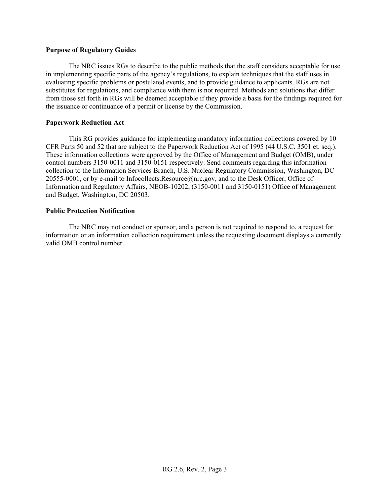#### **Purpose of Regulatory Guides**

 The NRC issues RGs to describe to the public methods that the staff considers acceptable for use in implementing specific parts of the agency's regulations, to explain techniques that the staff uses in evaluating specific problems or postulated events, and to provide guidance to applicants. RGs are not substitutes for regulations, and compliance with them is not required. Methods and solutions that differ from those set forth in RGs will be deemed acceptable if they provide a basis for the findings required for the issuance or continuance of a permit or license by the Commission.

#### **Paperwork Reduction Act**

This RG provides guidance for implementing mandatory information collections covered by 10 CFR Parts 50 and 52 that are subject to the Paperwork Reduction Act of 1995 (44 U.S.C. 3501 et. seq.). These information collections were approved by the Office of Management and Budget (OMB), under control numbers 3150-0011 and 3150-0151 respectively. Send comments regarding this information collection to the Information Services Branch, U.S. Nuclear Regulatory Commission, Washington, DC 20555-0001, or by e-mail to Infocollects.Resource@nrc.gov, and to the Desk Officer, Office of Information and Regulatory Affairs, NEOB-10202, (3150-0011 and 3150-0151) Office of Management and Budget, Washington, DC 20503.

#### **Public Protection Notification**

The NRC may not conduct or sponsor, and a person is not required to respond to, a request for information or an information collection requirement unless the requesting document displays a currently valid OMB control number.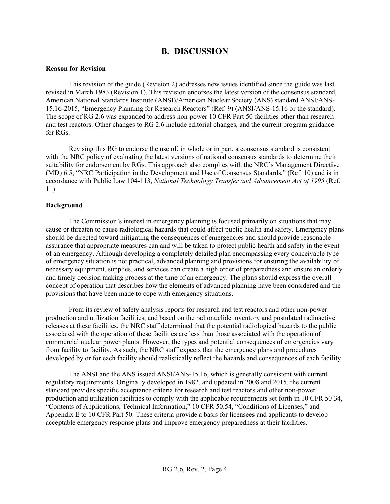## **B. DISCUSSION**

#### **Reason for Revision**

This revision of the guide (Revision 2) addresses new issues identified since the guide was last revised in March 1983 (Revision 1). This revision endorses the latest version of the consensus standard, American National Standards Institute (ANSI)/American Nuclear Society (ANS) standard ANSI/ANS-15.16-2015, "Emergency Planning for Research Reactors" (Ref. 9) (ANSI/ANS-15.16 or the standard). The scope of RG 2.6 was expanded to address non-power 10 CFR Part 50 facilities other than research and test reactors. Other changes to RG 2.6 include editorial changes, and the current program guidance for RGs.

Revising this RG to endorse the use of, in whole or in part, a consensus standard is consistent with the NRC policy of evaluating the latest versions of national consensus standards to determine their suitability for endorsement by RGs. This approach also complies with the NRC's Management Directive (MD) 6.5, "NRC Participation in the Development and Use of Consensus Standards," (Ref. 10) and is in accordance with Public Law 104-113, *National Technology Transfer and Advancement Act of 1995* (Ref. 11).

#### **Background**

The Commission's interest in emergency planning is focused primarily on situations that may cause or threaten to cause radiological hazards that could affect public health and safety. Emergency plans should be directed toward mitigating the consequences of emergencies and should provide reasonable assurance that appropriate measures can and will be taken to protect public health and safety in the event of an emergency. Although developing a completely detailed plan encompassing every conceivable type of emergency situation is not practical, advanced planning and provisions for ensuring the availability of necessary equipment, supplies, and services can create a high order of preparedness and ensure an orderly and timely decision making process at the time of an emergency. The plans should express the overall concept of operation that describes how the elements of advanced planning have been considered and the provisions that have been made to cope with emergency situations.

From its review of safety analysis reports for research and test reactors and other non-power production and utilization facilities, and based on the radionuclide inventory and postulated radioactive releases at these facilities, the NRC staff determined that the potential radiological hazards to the public associated with the operation of these facilities are less than those associated with the operation of commercial nuclear power plants. However, the types and potential consequences of emergencies vary from facility to facility. As such, the NRC staff expects that the emergency plans and procedures developed by or for each facility should realistically reflect the hazards and consequences of each facility.

The ANSI and the ANS issued ANSI/ANS-15.16, which is generally consistent with current regulatory requirements. Originally developed in 1982, and updated in 2008 and 2015, the current standard provides specific acceptance criteria for research and test reactors and other non-power production and utilization facilities to comply with the applicable requirements set forth in 10 CFR 50.34, "Contents of Applications; Technical Information," 10 CFR 50.54, "Conditions of Licenses," and Appendix E to 10 CFR Part 50. These criteria provide a basis for licensees and applicants to develop acceptable emergency response plans and improve emergency preparedness at their facilities.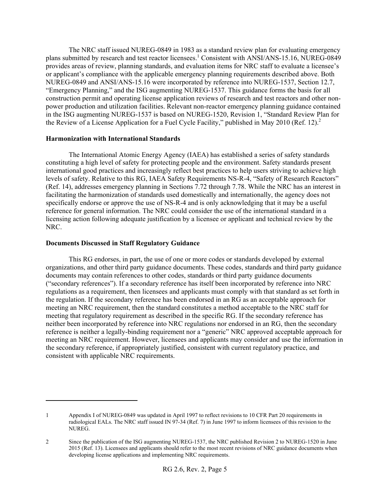The NRC staff issued NUREG-0849 in 1983 as a standard review plan for evaluating emergency plans submitted by research and test reactor licensees.<sup>1</sup> Consistent with ANSI/ANS-15.16, NUREG-0849 provides areas of review, planning standards, and evaluation items for NRC staff to evaluate a licensee's or applicant's compliance with the applicable emergency planning requirements described above. Both NUREG-0849 and ANSI/ANS-15.16 were incorporated by reference into NUREG-1537, Section 12.7, "Emergency Planning," and the ISG augmenting NUREG-1537. This guidance forms the basis for all construction permit and operating license application reviews of research and test reactors and other nonpower production and utilization facilities. Relevant non-reactor emergency planning guidance contained in the ISG augmenting NUREG-1537 is based on NUREG-1520, Revision 1, "Standard Review Plan for the Review of a License Application for a Fuel Cycle Facility," published in May 2010 (Ref. 12).<sup>2</sup>

### **Harmonization with International Standards**

The International Atomic Energy Agency (IAEA) has established a series of safety standards constituting a high level of safety for protecting people and the environment. Safety standards present international good practices and increasingly reflect best practices to help users striving to achieve high levels of safety. Relative to this RG, IAEA Safety Requirements NS-R-4, "Safety of Research Reactors" (Ref. 14), addresses emergency planning in Sections 7.72 through 7.78. While the NRC has an interest in facilitating the harmonization of standards used domestically and internationally, the agency does not specifically endorse or approve the use of NS-R-4 and is only acknowledging that it may be a useful reference for general information. The NRC could consider the use of the international standard in a licensing action following adequate justification by a licensee or applicant and technical review by the NRC.

### **Documents Discussed in Staff Regulatory Guidance**

 $\overline{a}$ 

 This RG endorses, in part, the use of one or more codes or standards developed by external organizations, and other third party guidance documents. These codes, standards and third party guidance documents may contain references to other codes, standards or third party guidance documents ("secondary references"). If a secondary reference has itself been incorporated by reference into NRC regulations as a requirement, then licensees and applicants must comply with that standard as set forth in the regulation. If the secondary reference has been endorsed in an RG as an acceptable approach for meeting an NRC requirement, then the standard constitutes a method acceptable to the NRC staff for meeting that regulatory requirement as described in the specific RG. If the secondary reference has neither been incorporated by reference into NRC regulations nor endorsed in an RG, then the secondary reference is neither a legally-binding requirement nor a "generic" NRC approved acceptable approach for meeting an NRC requirement. However, licensees and applicants may consider and use the information in the secondary reference, if appropriately justified, consistent with current regulatory practice, and consistent with applicable NRC requirements.

<sup>1</sup> Appendix I of NUREG-0849 was updated in April 1997 to reflect revisions to 10 CFR Part 20 requirements in radiological EALs. The NRC staff issued IN 97-34 (Ref. 7) in June 1997 to inform licensees of this revision to the NUREG.

<sup>2</sup> Since the publication of the ISG augmenting NUREG-1537, the NRC published Revision 2 to NUREG-1520 in June 2015 (Ref. 13). Licensees and applicants should refer to the most recent revisions of NRC guidance documents when developing license applications and implementing NRC requirements.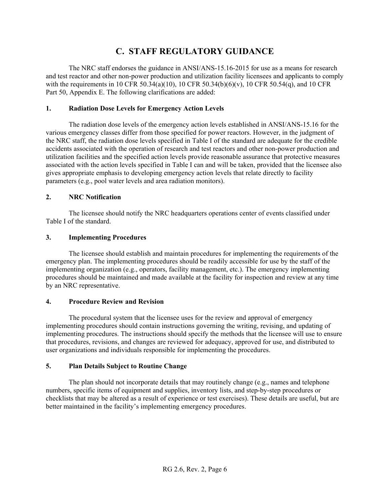## **C. STAFF REGULATORY GUIDANCE**

The NRC staff endorses the guidance in ANSI/ANS-15.16-2015 for use as a means for research and test reactor and other non-power production and utilization facility licensees and applicants to comply with the requirements in 10 CFR 50.34(a)(10), 10 CFR 50.34(b)(6)(v), 10 CFR 50.54(q), and 10 CFR Part 50, Appendix E. The following clarifications are added:

## **1. Radiation Dose Levels for Emergency Action Levels**

The radiation dose levels of the emergency action levels established in ANSI/ANS-15.16 for the various emergency classes differ from those specified for power reactors. However, in the judgment of the NRC staff, the radiation dose levels specified in Table I of the standard are adequate for the credible accidents associated with the operation of research and test reactors and other non-power production and utilization facilities and the specified action levels provide reasonable assurance that protective measures associated with the action levels specified in Table I can and will be taken, provided that the licensee also gives appropriate emphasis to developing emergency action levels that relate directly to facility parameters (e.g., pool water levels and area radiation monitors).

## **2. NRC Notification**

The licensee should notify the NRC headquarters operations center of events classified under Table I of the standard.

## **3. Implementing Procedures**

The licensee should establish and maintain procedures for implementing the requirements of the emergency plan. The implementing procedures should be readily accessible for use by the staff of the implementing organization (e.g., operators, facility management, etc.). The emergency implementing procedures should be maintained and made available at the facility for inspection and review at any time by an NRC representative.

## **4. Procedure Review and Revision**

The procedural system that the licensee uses for the review and approval of emergency implementing procedures should contain instructions governing the writing, revising, and updating of implementing procedures. The instructions should specify the methods that the licensee will use to ensure that procedures, revisions, and changes are reviewed for adequacy, approved for use, and distributed to user organizations and individuals responsible for implementing the procedures.

## **5. Plan Details Subject to Routine Change**

The plan should not incorporate details that may routinely change (e.g., names and telephone numbers, specific items of equipment and supplies, inventory lists, and step-by-step procedures or checklists that may be altered as a result of experience or test exercises). These details are useful, but are better maintained in the facility's implementing emergency procedures.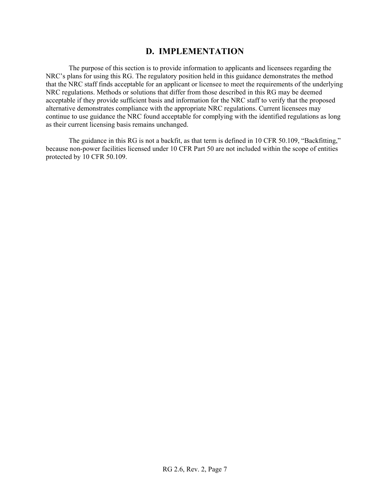## **D. IMPLEMENTATION**

 The purpose of this section is to provide information to applicants and licensees regarding the NRC's plans for using this RG. The regulatory position held in this guidance demonstrates the method that the NRC staff finds acceptable for an applicant or licensee to meet the requirements of the underlying NRC regulations. Methods or solutions that differ from those described in this RG may be deemed acceptable if they provide sufficient basis and information for the NRC staff to verify that the proposed alternative demonstrates compliance with the appropriate NRC regulations. Current licensees may continue to use guidance the NRC found acceptable for complying with the identified regulations as long as their current licensing basis remains unchanged.

 The guidance in this RG is not a backfit, as that term is defined in 10 CFR 50.109, "Backfitting," because non-power facilities licensed under 10 CFR Part 50 are not included within the scope of entities protected by 10 CFR 50.109.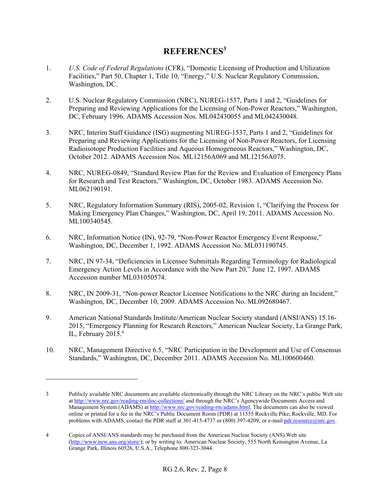## **REFERENCES<sup>3</sup>**

- 1. *U.S. Code of Federal Regulations* (CFR), "Domestic Licensing of Production and Utilization Facilities," Part 50, Chapter 1, Title 10, "Energy," U.S. Nuclear Regulatory Commission, Washington, DC.
- 2. U.S. Nuclear Regulatory Commission (NRC), NUREG-1537, Parts 1 and 2, "Guidelines for Preparing and Reviewing Applications for the Licensing of Non-Power Reactors," Washington, DC, February 1996. ADAMS Accession Nos. ML042430055 and ML042430048.
- 3. NRC, Interim Staff Guidance (ISG) augmenting NUREG-1537, Parts 1 and 2, "Guidelines for Preparing and Reviewing Applications for the Licensing of Non-Power Reactors, for Licensing Radioisotope Production Facilities and Aqueous Homogeneous Reactors," Washington, DC, October 2012. ADAMS Accession Nos. ML12156A069 and ML12156A075.
- 4. NRC, NUREG-0849, "Standard Review Plan for the Review and Evaluation of Emergency Plans for Research and Test Reactors," Washington, DC, October 1983. ADAMS Accession No. ML062190191.
- 5. NRC, Regulatory Information Summary (RIS), 2005-02, Revision 1, "Clarifying the Process for Making Emergency Plan Changes," Washington, DC, April 19, 2011. ADAMS Accession No. ML100340545.
- 6. NRC, Information Notice (IN), 92-79, "Non-Power Reactor Emergency Event Response," Washington, DC, December 1, 1992. ADAMS Accession No. ML031190745.
- 7. NRC, IN 97-34, "Deficiencies in Licensee Submittals Regarding Terminology for Radiological Emergency Action Levels in Accordance with the New Part 20," June 12, 1997. ADAMS Accession number ML031050574.
- 8. NRC, IN 2009-31, "Non-power Reactor Licensee Notifications to the NRC during an Incident," Washington, DC, December 10, 2009. ADAMS Accession No. ML092680467.
- 9. American National Standards Institute/American Nuclear Society standard (ANSI/ANS) 15.16- 2015, "Emergency Planning for Research Reactors," American Nuclear Society, La Grange Park, IL, February 2015.<sup>4</sup>
- 10. NRC, Management Directive 6.5, "NRC Participation in the Development and Use of Consensus Standards," Washington, DC, December 2011. ADAMS Accession No. ML100600460.

 $\overline{a}$ 

<sup>3</sup> Publicly available NRC documents are available electronically through the NRC Library on the NRC's public Web site at http://www.nrc.gov/reading-rm/doc-collections/ and through the NRC's Agencywide Documents Access and Management System (ADAMS) at http://www.nrc.gov/reading-rm/adams.html. The documents can also be viewed online or printed for a fee in the NRC's Public Document Room (PDR) at 11555 Rockville Pike, Rockville, MD. For problems with ADAMS, contact the PDR staff at 301-415-4737 or (800) 397-4209; or e-mail pdr.resource@nrc.gov.

<sup>4</sup> Copies of ANSI/ANS standards may be purchased from the American Nuclear Society (ANS) Web site (http://www.new.ans.org/store/); or by writing to: American Nuclear Society, 555 North Kensington Avenue, La Grange Park, Illinois 60526, U.S.A., Telephone 800-323-3044.